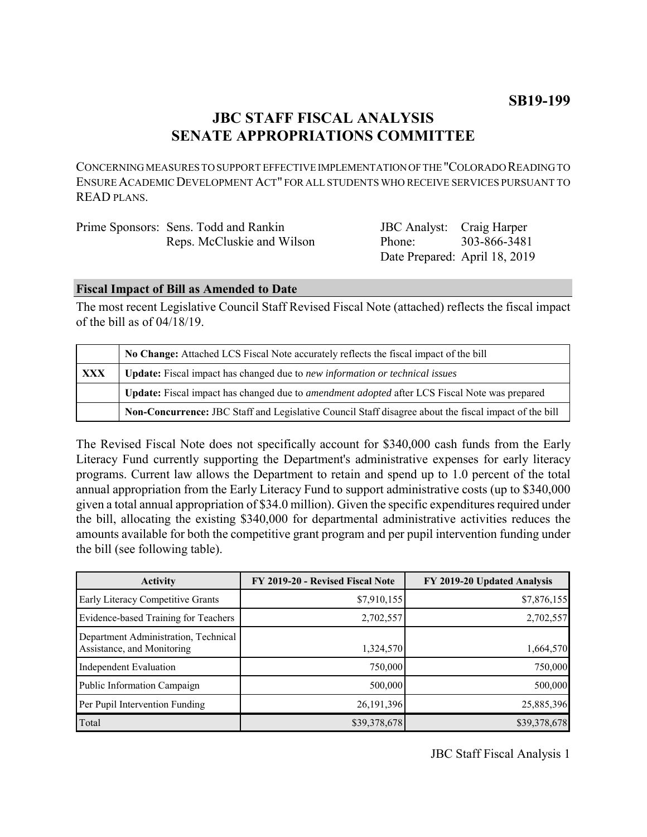# **JBC STAFF FISCAL ANALYSIS SENATE APPROPRIATIONS COMMITTEE**

CONCERNING MEASURES TO SUPPORT EFFECTIVE IMPLEMENTATION OF THE "COLORADO READING TO ENSURE ACADEMIC DEVELOPMENT ACT" FOR ALL STUDENTS WHO RECEIVE SERVICES PURSUANT TO READ PLANS.

| Prime Sponsors: Sens. Todd and Rankin | <b>JBC</b> Analyst: Craig Harper |              |
|---------------------------------------|----------------------------------|--------------|
| Reps. McCluskie and Wilson            | Phone:                           | 303-866-3481 |
|                                       | Date Prepared: April 18, 2019    |              |

#### **Fiscal Impact of Bill as Amended to Date**

The most recent Legislative Council Staff Revised Fiscal Note (attached) reflects the fiscal impact of the bill as of 04/18/19.

|     | No Change: Attached LCS Fiscal Note accurately reflects the fiscal impact of the bill                 |  |
|-----|-------------------------------------------------------------------------------------------------------|--|
| XXX | Update: Fiscal impact has changed due to new information or technical issues                          |  |
|     | Update: Fiscal impact has changed due to <i>amendment adopted</i> after LCS Fiscal Note was prepared  |  |
|     | Non-Concurrence: JBC Staff and Legislative Council Staff disagree about the fiscal impact of the bill |  |

The Revised Fiscal Note does not specifically account for \$340,000 cash funds from the Early Literacy Fund currently supporting the Department's administrative expenses for early literacy programs. Current law allows the Department to retain and spend up to 1.0 percent of the total annual appropriation from the Early Literacy Fund to support administrative costs (up to \$340,000 given a total annual appropriation of \$34.0 million). Given the specific expenditures required under the bill, allocating the existing \$340,000 for departmental administrative activities reduces the amounts available for both the competitive grant program and per pupil intervention funding under the bill (see following table).

| <b>Activity</b>                                                    | FY 2019-20 - Revised Fiscal Note | FY 2019-20 Updated Analysis |
|--------------------------------------------------------------------|----------------------------------|-----------------------------|
| Early Literacy Competitive Grants                                  | \$7,910,155                      | \$7,876,155                 |
| Evidence-based Training for Teachers                               | 2,702,557                        | 2,702,557                   |
| Department Administration, Technical<br>Assistance, and Monitoring | 1,324,570                        | 1,664,570                   |
| <b>Independent Evaluation</b>                                      | 750,000                          | 750,000                     |
| Public Information Campaign                                        | 500,000                          | 500,000                     |
| Per Pupil Intervention Funding                                     | 26, 191, 396                     | 25,885,396                  |
| Total                                                              | \$39,378,678                     | \$39,378,678                |

JBC Staff Fiscal Analysis 1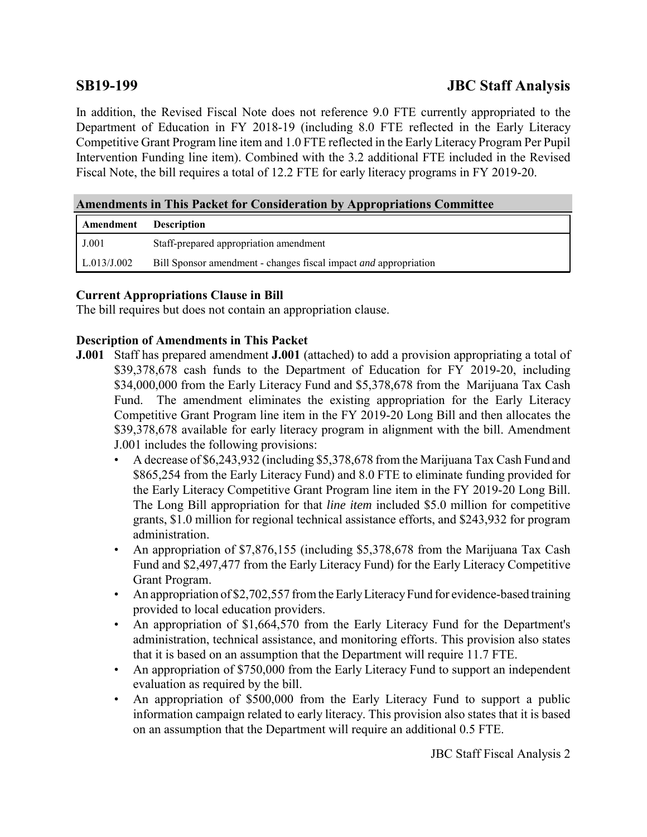# **SB19-199 JBC Staff Analysis**

In addition, the Revised Fiscal Note does not reference 9.0 FTE currently appropriated to the Department of Education in FY 2018-19 (including 8.0 FTE reflected in the Early Literacy Competitive Grant Program line item and 1.0 FTE reflected in the Early Literacy Program Per Pupil Intervention Funding line item). Combined with the 3.2 additional FTE included in the Revised Fiscal Note, the bill requires a total of 12.2 FTE for early literacy programs in FY 2019-20.

# **Amendments in This Packet for Consideration by Appropriations Committee**

| Amendment   | <b>Description</b>                                                      |
|-------------|-------------------------------------------------------------------------|
| J.001       | Staff-prepared appropriation amendment                                  |
| L.013/J.002 | Bill Sponsor amendment - changes fiscal impact <i>and</i> appropriation |

### **Current Appropriations Clause in Bill**

The bill requires but does not contain an appropriation clause.

### **Description of Amendments in This Packet**

- **J.001** Staff has prepared amendment **J.001** (attached) to add a provision appropriating a total of \$39,378,678 cash funds to the Department of Education for FY 2019-20, including \$34,000,000 from the Early Literacy Fund and \$5,378,678 from the Marijuana Tax Cash Fund. The amendment eliminates the existing appropriation for the Early Literacy Competitive Grant Program line item in the FY 2019-20 Long Bill and then allocates the \$39,378,678 available for early literacy program in alignment with the bill. Amendment J.001 includes the following provisions:
	- A decrease of \$6,243,932 (including \$5,378,678 from the Marijuana Tax Cash Fund and \$865,254 from the Early Literacy Fund) and 8.0 FTE to eliminate funding provided for the Early Literacy Competitive Grant Program line item in the FY 2019-20 Long Bill. The Long Bill appropriation for that *line item* included \$5.0 million for competitive grants, \$1.0 million for regional technical assistance efforts, and \$243,932 for program administration.
	- An appropriation of \$7,876,155 (including \$5,378,678 from the Marijuana Tax Cash Fund and \$2,497,477 from the Early Literacy Fund) for the Early Literacy Competitive Grant Program.
	- An appropriation of \$2,702,557 from the Early Literacy Fund for evidence-based training provided to local education providers.
	- An appropriation of \$1,664,570 from the Early Literacy Fund for the Department's administration, technical assistance, and monitoring efforts. This provision also states that it is based on an assumption that the Department will require 11.7 FTE.
	- An appropriation of \$750,000 from the Early Literacy Fund to support an independent evaluation as required by the bill.
	- An appropriation of \$500,000 from the Early Literacy Fund to support a public information campaign related to early literacy. This provision also states that it is based on an assumption that the Department will require an additional 0.5 FTE.